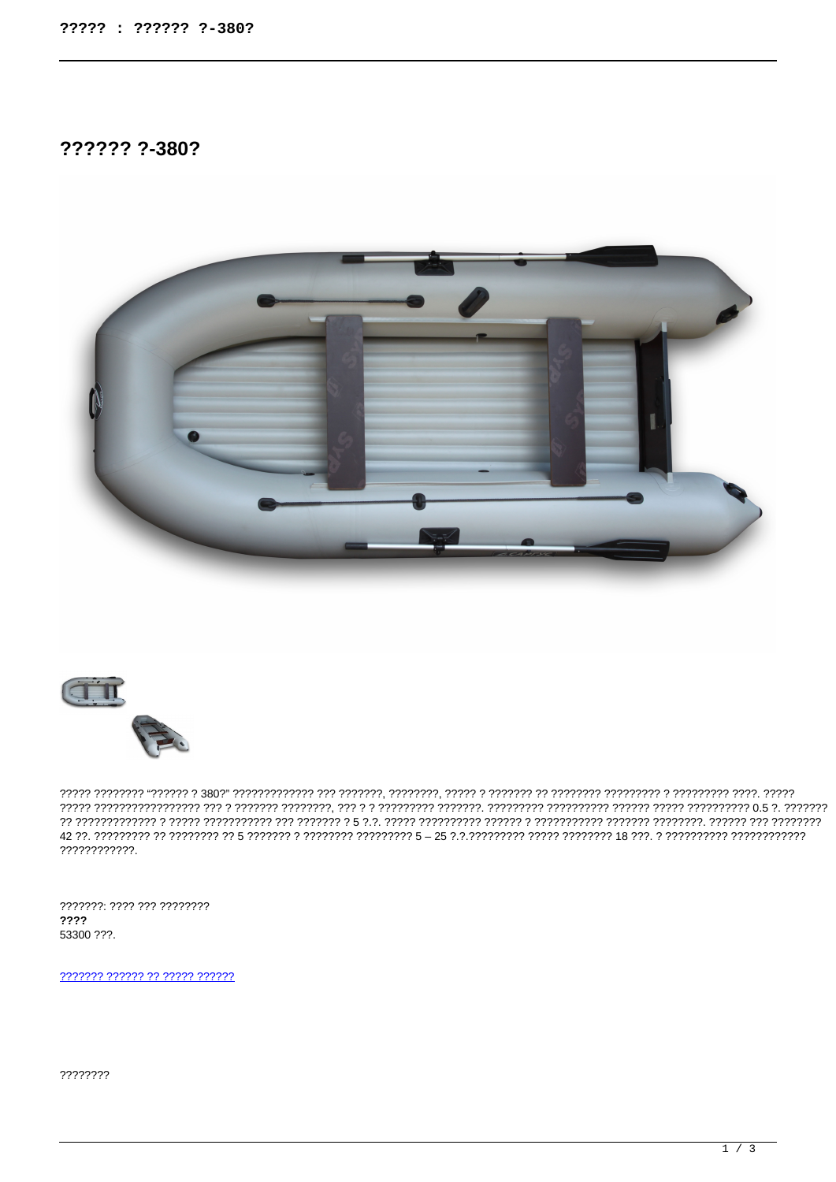# ?????? ?-380?





77777 הירד הירדיד הירדיד הירדיד הירדיד הירדיד הירדיד הירדיד, הירדידי, הירדיד היר הירדידי היספר י ????????????.

???????: ???? ??? ????????  $2222$ 53300 ???.

2222222 222222 22 22222 222222

????????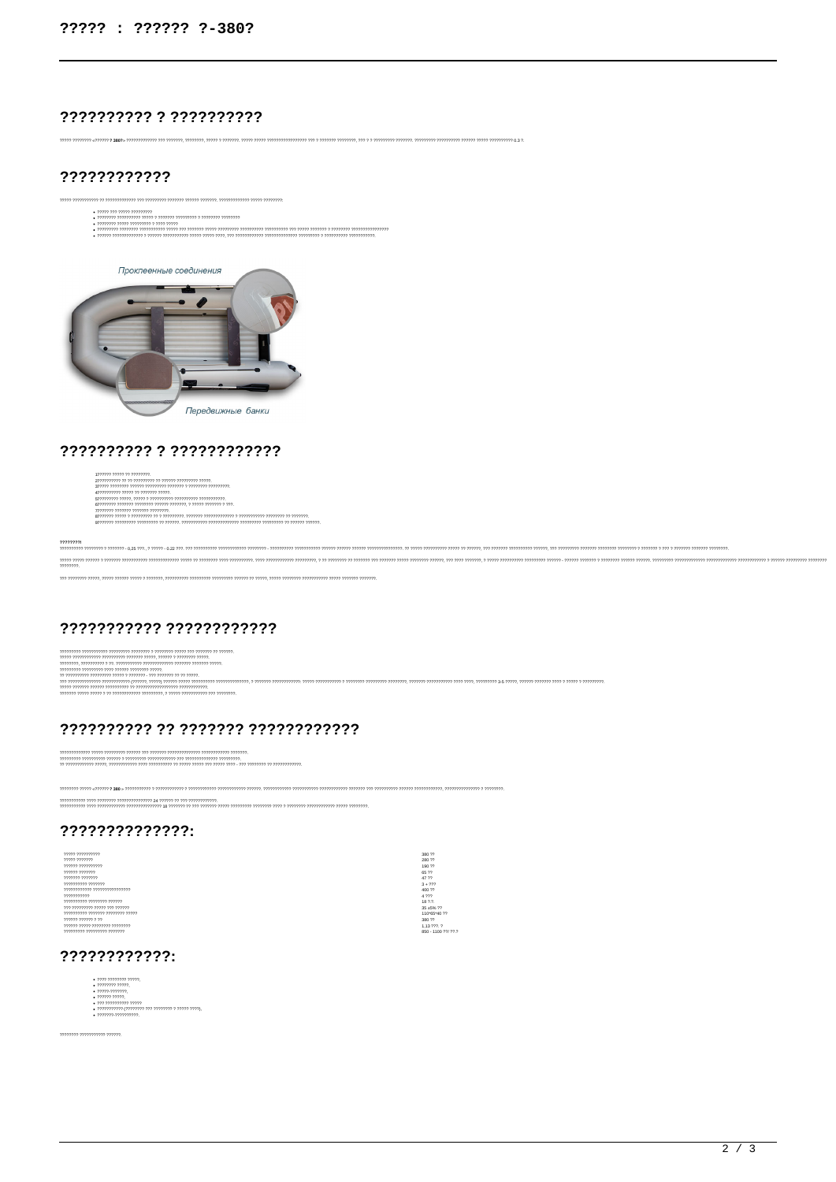## ?????????? ? ??????????

.<br>מ בת הקלקומי הקלקה להקלקליקה להקלקלה הקלקליקה להל הקלקליקה המה הקלקליקה המהורה להלל הקלקליקה להקלקליקה המהלכולה המהלכולה הקלקליקה להקלקליקה להקלקליקה להקלקליקה להקלקליקה להקלקליקה להקל<br>המודעות המקרים המקרים הקלקליקה הקל

### ????????????





#### ?????????? ? ????????????

| 1222222 22222 22 2222222                                                                                |
|---------------------------------------------------------------------------------------------------------|
| מממי מממממים מממים מי מממממים מי מי מממממים                                                             |
| - ממממממי ממממממי מיממממי ממממממי ממממי מממממי ממממי                                                    |
| רררר ררמית מי מרחב מתקנית                                                                               |
|                                                                                                         |
|                                                                                                         |
| מממממ ממממי ומממי הממוד                                                                                 |
| , ממכמכת מי מרמכמים במכמכות מי מי מכמכמים מכמכמים במכמכת מי מי מכמכמים מי מכמכת מי מכמים מספרים         |
| - מרמרת מרכזר רך הרכורכבר ברכורובר ברכורובר הרכורובר ברכורובר ברכור ברכור כך ברכורכבר ברכורבר ברכורכם ה |

 $\frac{mm}{m}$ .<br>מזמיו וממומר מי, מומר ממומים ממוני ממוני מומרה מומרה ממוני מומרה ממוני ממוני ממוני ממוני ממוני ממוני מים ממוני ממוני מומוני מומוני מומוני  $\,mmm$  מימים ומחמיני ביותר ביותר ביותר ביותר ביותר ביותר ביותר ביותר ביותר ביותר ביותר ביותר ביותר ביותר ביותר ביותר ביותר ביותר ביותר ביותר ביותר ביותר ביותר ביותר ביותר ביותר ביותר ביותר ביותר ביותר ביותר ביותר ביותר ב .<br>יחידתי דתידתי דתיד הדתידתי דתידתי דתיד בדתיד ברומי הדתידתי דתידתיד בדתידתי ביווידת בידתי דתיד דתיד בדתי בדתידתי

17<br>777. 7<br>1100 77/ 77.1

## ??????????? ????????????

המוזי המוזי המוזי המוזי המוזי המוזי המוזי המוזי המוזי המוזי המוזי המוזי המוזי המוזי המוזי המוזי המוזי המוזי המוזי המוזי המוזי המוזי המוזי המוזי המוזי המוזי המוזי המוזי המוזי המוזי המוזי המוזי המוזי המוזי המוזי המוזי המוז

### ?????????? ?? ??????? ????????????

|  |  | - ממממכ ממכתמממכת ממותכת הממודדת ממכתפת כמו המממכת מממכת ממכת ממכת הממכת המ                                     |  |
|--|--|-----------------------------------------------------------------------------------------------------------------|--|
|  |  |                                                                                                                 |  |
|  |  | ו ומורה מורכבים בין המרכבים בין המורד מרכבים במרכבים בין המרכבים בין המרכבים בין המרכבים בין המרכבים בין המרכבי |  |

.<br>דו די המרוודות המוניה והודו המוניה היו היווי המוניה והיווידות היווידות במוניה המוניה היווידות במוניה ביווידות ב-1910 במוני היווידו .<br>די הייתה הייתה הייתה הייתה הייתה הייתה הייתה הייתה הייתה הייתה הייתה הייתה הייתה הייתה הייתה הייתה הייתה הייתה<br>ביותה הייתה הייתה הייתה הייתה הייתה הייתה הייתה הייתה הייתה הייתה ביותה הייתה הייתה הייתה הייתה הייתה הייתה

### ??????????????

| 22222 2222222222               | 380 ??         |
|--------------------------------|----------------|
| ????? ???????                  | 280 ??         |
| 222222222222222                | 190 ??         |
| 2222222222222                  | 65 22          |
| 22222222222222                 | 47.22          |
| ,,,,,,,,,,,,,,,,,,             | $3 + 222$      |
|                                | 400 ??         |
| 22222222222                    | 4.222          |
| ממממ מממממ מממממי              | 18 ?.?.        |
| מממכ מכ מממ ממממכי מכ          | 35 ±5% ??      |
| ררררר רררכרכרר רררכרכך הרכבודר | 110*65*40.22   |
| ?????? ?????? ? ??             | 380 ??         |
| רררכרכר ברכברכבי בכרכב בינקר   | 1.13 ???. ?    |
| $\eta$ ומיתי מיתוחית מיתוחית   | 850 - 1100 ??. |
|                                |                |

### ????????????



mmmmmmmmmm